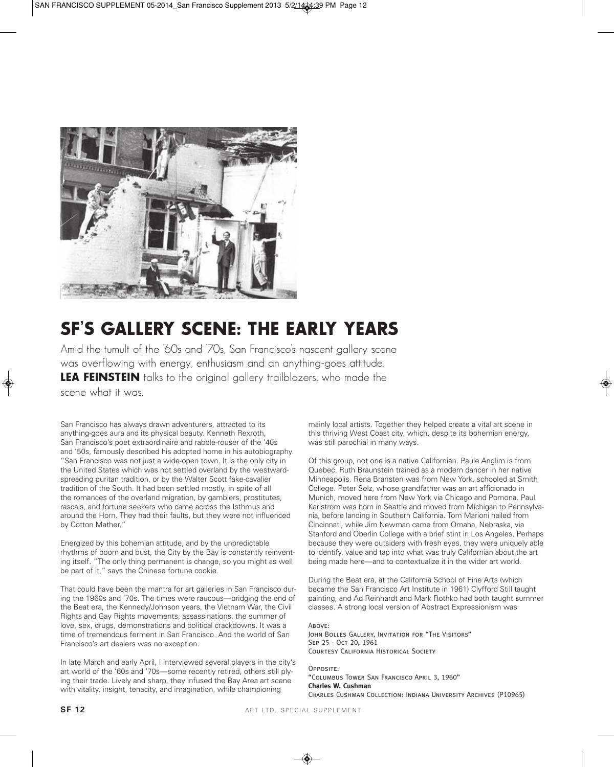

## **SF'S GALLERY SCENE: THE EARLY YEARS**

Amid the tumult of the '60s and '70s, San Francisco's nascent gallery scene was overflowing with energy, enthusiasm and an anything-goes attitude. **LEA FEINSTEIN** talks to the original gallery trailblazers, who made the

scene what it was.

San Francisco has always drawn adventurers, attracted to its anything-goes aura and its physical beauty. Kenneth Rexroth, San Francisco's poet extraordinaire and rabble-rouser of the '40s and '50s, famously described his adopted home in his autobiography. "San Francisco was not just a wide-open town. It is the only city in the United States which was not settled overland by the westwardspreading puritan tradition, or by the Walter Scott fake-cavalier tradition of the South. It had been settled mostly, in spite of all the romances of the overland migration, by gamblers, prostitutes, rascals, and fortune seekers who came across the Isthmus and around the Horn. They had their faults, but they were not influenced by Cotton Mather."

Energized by this bohemian attitude, and by the unpredictable rhythms of boom and bust, the City by the Bay is constantly reinventing itself. "The only thing permanent is change, so you might as well be part of it," says the Chinese fortune cookie.

That could have been the mantra for art galleries in San Francisco during the 1960s and '70s. The times were raucous—bridging the end of the Beat era, the Kennedy/Johnson years, the Vietnam War, the Civil Rights and Gay Rights movements, assassinations, the summer of love, sex, drugs, demonstrations and political crackdowns. It was a time of tremendous ferment in San Francisco. And the world of San Francisco's art dealers was no exception.

In late March and early April, I interviewed several players in the city's art world of the '60s and '70s—some recently retired, others still plying their trade. Lively and sharp, they infused the Bay Area art scene with vitality, insight, tenacity, and imagination, while championing

mainly local artists. Together they helped create a vital art scene in this thriving West Coast city, which, despite its bohemian energy, was still parochial in many ways.

Of this group, not one is a native Californian. Paule Anglim is from Quebec. Ruth Braunstein trained as a modern dancer in her native Minneapolis. Rena Bransten was from New York, schooled at Smith College. Peter Selz, whose grandfather was an art afficionado in Munich, moved here from New York via Chicago and Pomona. Paul Karlstrom was born in Seattle and moved from Michigan to Pennsylvania, before landing in Southern California. Tom Marioni hailed from Cincinnati, while Jim Newman came from Omaha, Nebraska, via Stanford and Oberlin College with a brief stint in Los Angeles. Perhaps because they were outsiders with fresh eyes, they were uniquely able to identify, value and tap into what was truly Californian about the art being made here—and to contextualize it in the wider art world.

During the Beat era, at the California School of Fine Arts (which became the San Francisco Art Institute in 1961) Clyfford Still taught painting, and Ad Reinhardt and Mark Rothko had both taught summer classes. A strong local version of Abstract Expressionism was

 $\Delta$ **POVE** John Bolles Gallery, Invitation for "The Visitors" Sep 25 - Oct 20, 1961 Courtesy California Historical Society

Opposite: "Columbus Tower San Francisco April 3, 1960" **Charles W. Cushman** Charles Cushman Collection: Indiana University Archives (P10965)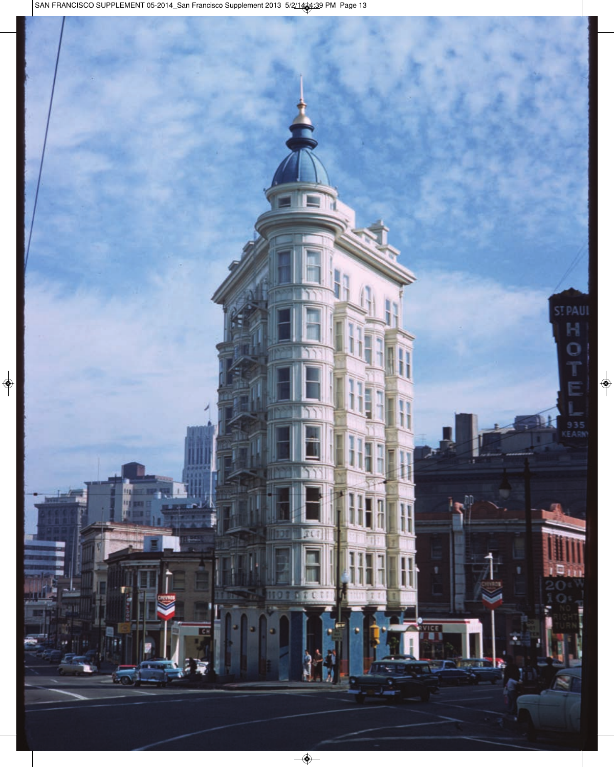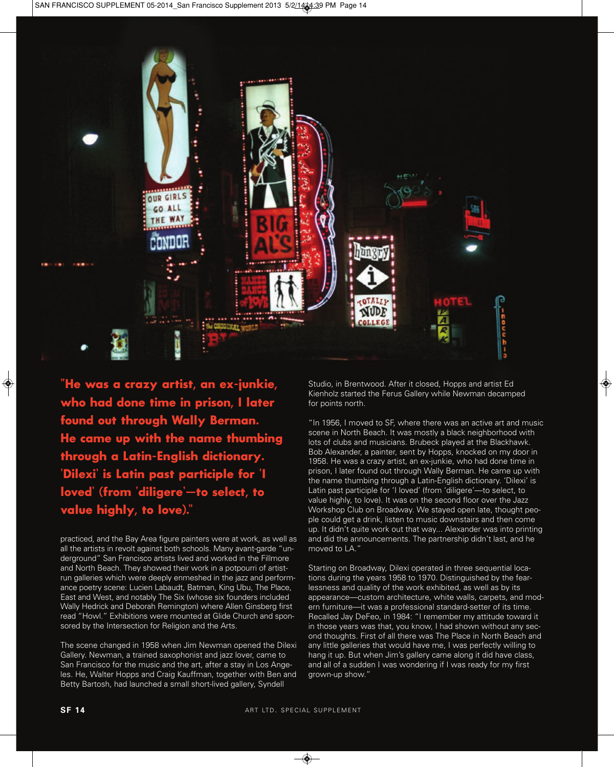

**"He was a crazy artist, an ex-junkie, who had done time in prison, I later found out through Wally Berman. He came up with the name thumbing through a Latin-English dictionary. 'Dilexi' is Latin past participle for 'I loved' (from 'diligere'—to select, to value highly, to love)."**

practiced, and the Bay Area figure painters were at work, as well as all the artists in revolt against both schools. Many avant-garde "underground" San Francisco artists lived and worked in the Fillmore and North Beach. They showed their work in a potpourri of artistrun galleries which were deeply enmeshed in the jazz and performance poetry scene: Lucien Labaudt, Batman, King Ubu, The Place, East and West, and notably The Six (whose six founders included Wally Hedrick and Deborah Remington) where Allen Ginsberg first read "Howl." Exhibitions were mounted at Glide Church and sponsored by the Intersection for Religion and the Arts.

The scene changed in 1958 when Jim Newman opened the Dilexi Gallery. Newman, a trained saxophonist and jazz lover, came to San Francisco for the music and the art, after a stay in Los Angeles. He, Walter Hopps and Craig Kauffman, together with Ben and Betty Bartosh, had launched a small short-lived gallery, Syndell

Studio, in Brentwood. After it closed, Hopps and artist Ed Kienholz started the Ferus Gallery while Newman decamped for points north.

"In 1956, I moved to SF, where there was an active art and music scene in North Beach. It was mostly a black neighborhood with lots of clubs and musicians. Brubeck played at the Blackhawk. Bob Alexander, a painter, sent by Hopps, knocked on my door in 1958. He was a crazy artist, an ex-junkie, who had done time in prison, I later found out through Wally Berman. He came up with the name thumbing through a Latin-English dictionary. 'Dilexi' is Latin past participle for 'I loved' (from 'diligere'—to select, to value highly, to love). It was on the second floor over the Jazz Workshop Club on Broadway. We stayed open late, thought people could get a drink, listen to music downstairs and then come up. It didn't quite work out that way... Alexander was into printing and did the announcements. The partnership didn't last, and he moved to LA."

Starting on Broadway, Dilexi operated in three sequential locations during the years 1958 to 1970. Distinguished by the fearlessness and quality of the work exhibited, as well as by its appearance—custom architecture, white walls, carpets, and modern furniture—it was a professional standard-setter of its time. Recalled Jay DeFeo, in 1984: "I remember my attitude toward it in those years was that, you know, I had shown without any second thoughts. First of all there was The Place in North Beach and any little galleries that would have me, I was perfectly willing to hang it up. But when Jim's gallery came along it did have class, and all of a sudden I was wondering if I was ready for my first grown-up show."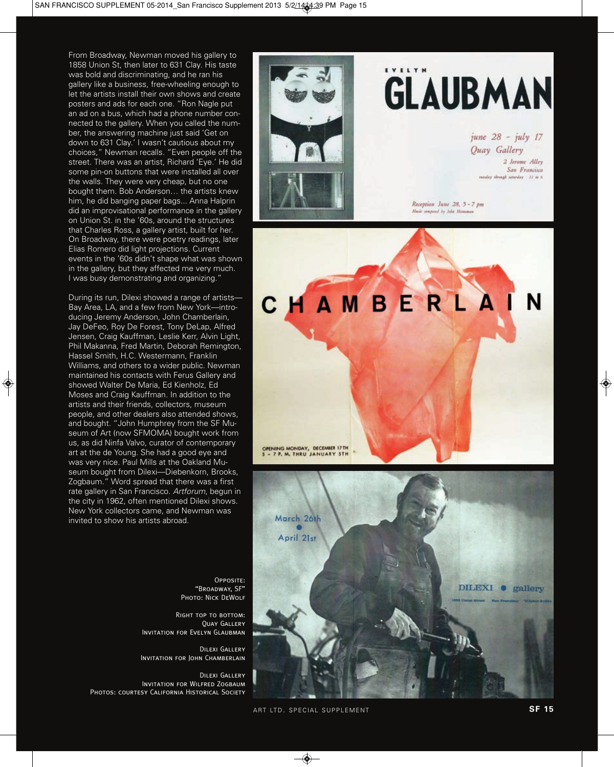From Broadway, Newman moved his gallery to 1858 Union St, then later to 631 Clay. His taste was bold and discriminating, and he ran his gallery like a business, free-wheeling enough to let the artists install their own shows and create posters and ads for each one. "Ron Nagle put an ad on a bus, which had a phone number connected to the gallery. When you called the number, the answering machine just said 'Get on down to 631 Clay.' I wasn't cautious about my choices," Newman recalls. "Even people off the street. There was an artist, Richard 'Eye.' He did some pin-on buttons that were installed all over the walls. They were very cheap, but no one bought them. Bob Anderson… the artists knew him, he did banging paper bags... Anna Halprin did an improvisational performance in the gallery on Union St. in the '60s, around the structures that Charles Ross, a gallery artist, built for her. On Broadway, there were poetry readings, later Elias Romero did light projections. Current events in the '60s didn't shape what was shown in the gallery, but they affected me very much. I was busy demonstrating and organizing."

During its run, Dilexi showed a range of artists— Bay Area, LA, and a few from New York—introducing Jeremy Anderson, John Chamberlain, Jay DeFeo, Roy De Forest, Tony DeLap, Alfred Jensen, Craig Kauffman, Leslie Kerr, Alvin Light, Phil Makanna, Fred Martin, Deborah Remington, Hassel Smith, H.C. Westermann, Franklin Williams, and others to a wider public. Newman maintained his contacts with Ferus Gallery and showed Walter De Maria, Ed Kienholz, Ed Moses and Craig Kauffman. In addition to the artists and their friends, collectors, museum people, and other dealers also attended shows, and bought. "John Humphrey from the SF Museum of Art (now SFMOMA) bought work from us, as did Ninfa Valvo, curator of contemporary art at the de Young. She had a good eye and was very nice. Paul Mills at the Oakland Museum bought from Dilexi—Diebenkorn, Brooks, Zogbaum." Word spread that there was a first rate gallery in San Francisco. Artforum, begun in the city in 1962, often mentioned Dilexi shows. New York collectors came, and Newman was invited to show his artists abroad.

> Opposite: "Broadway, SF" PHOTO: NICK DEWOLF

Right top to bottom: Quay Gallery Invitation for Evelyn Glaubman

Dilexi Gallery INVITATION FOR JOHN CHAMBERLAIN

DILEXI GALLERY INVITATION FOR WILFRED ZOGBAUM PHOTOS: COURTESY CALIFORNIA HISTORICAL SOCIETY





june  $28 - july 17$ Ouay Gallery 2 Jerome Alley San Francisco day shrough interday 11 to 6

Reception June 28, 5 - 7 pm Masic connect by John Hein-





ART LTD. SPECIAL SUPPLEMENT **SF 15**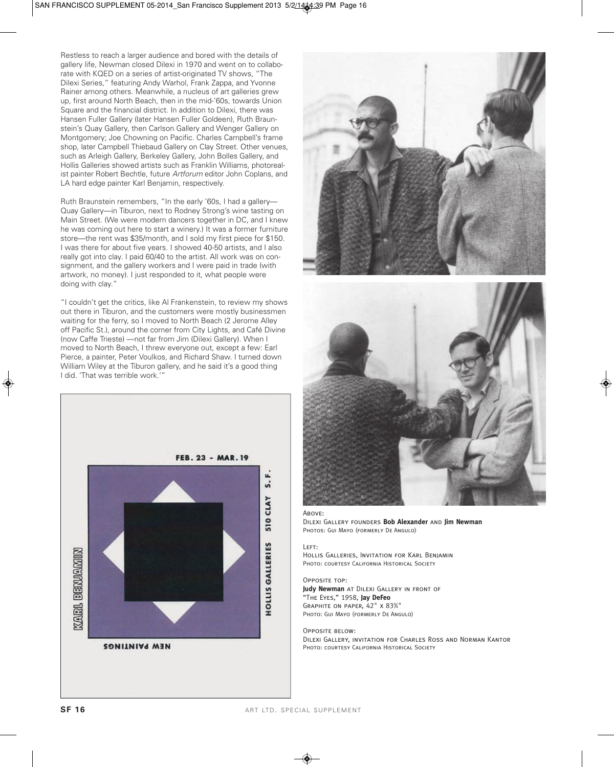Restless to reach a larger audience and bored with the details of gallery life, Newman closed Dilexi in 1970 and went on to collaborate with KQED on a series of artist-originated TV shows, "The Dilexi Series," featuring Andy Warhol, Frank Zappa, and Yvonne Rainer among others. Meanwhile, a nucleus of art galleries grew up, first around North Beach, then in the mid-'60s, towards Union Square and the financial district. In addition to Dilexi, there was Hansen Fuller Gallery (later Hansen Fuller Goldeen), Ruth Braunstein's Quay Gallery, then Carlson Gallery and Wenger Gallery on Montgomery; Joe Chowning on Pacific. Charles Campbell's frame shop, later Campbell Thiebaud Gallery on Clay Street. Other venues, such as Arleigh Gallery, Berkeley Gallery, John Bolles Gallery, and Hollis Galleries showed artists such as Franklin Williams, photorealist painter Robert Bechtle, future Artforum editor John Coplans, and LA hard edge painter Karl Benjamin, respectively.

Ruth Braunstein remembers, "In the early '60s, I had a gallery— Quay Gallery—in Tiburon, next to Rodney Strong's wine tasting on Main Street. (We were modern dancers together in DC, and I knew he was coming out here to start a winery.) It was a former furniture store—the rent was \$35/month, and I sold my first piece for \$150. I was there for about five years. I showed 40-50 artists, and I also really got into clay. I paid 60/40 to the artist. All work was on consignment, and the gallery workers and I were paid in trade (with artwork, no money). I just responded to it, what people were doing with clay."

"I couldn't get the critics, like Al Frankenstein, to review my shows out there in Tiburon, and the customers were mostly businessmen waiting for the ferry, so I moved to North Beach (2 Jerome Alley off Pacific St.), around the corner from City Lights, and Café Divine (now Caffe Trieste) —not far from Jim (Dilexi Gallery). When I moved to North Beach, I threw everyone out, except a few: Earl Pierce, a painter, Peter Voulkos, and Richard Shaw. I turned down William Wiley at the Tiburon gallery, and he said it's a good thing I did. 'That was terrible work.'"







ABOVE<sup>.</sup> Dilexi Gallery founders **Bob Alexander** and **Jim Newman** PHOTOS: GUI MAYO (FORMERLY DE ANGULO)

#### Leet:

Hollis Galleries, Invitation for Karl Benjamin PHOTO: COURTESY CALIFORNIA HISTORICAL SOCIETY

### Opposite top:

**Judy Newman** at Dilexi Gallery in front of "The Eyes," 1958, **Jay DeFeo** GRAPHITE ON PAPER, 42" x 83<sup>3</sup>/4" Photo: Gui Mayo (formerly De Angulo)

### OPPOSITE BELOW:

Dilexi Gallery, invitation for Charles Ross and Norman Kantor PHOTO: COURTESY CALIFORNIA HISTORICAL SOCIETY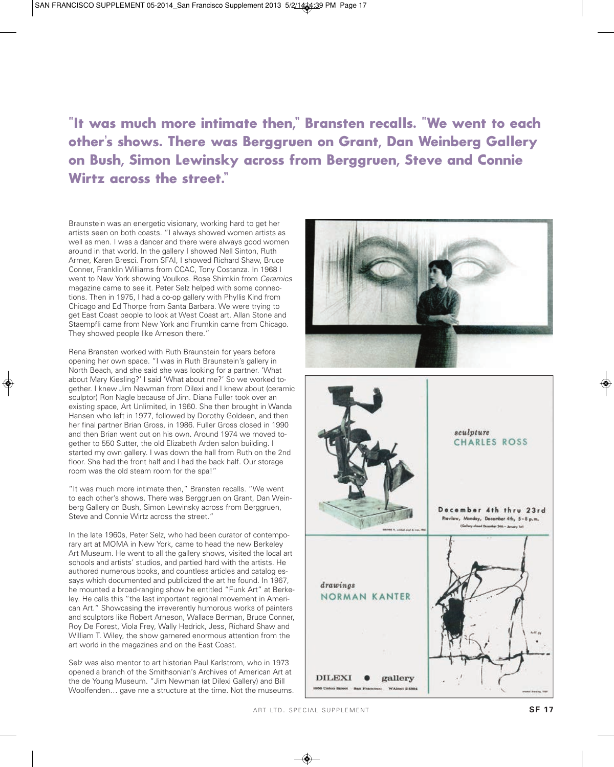**"It was much more intimate then," Bransten recalls. "We went to each other's shows. There was Berggruen on Grant, Dan Weinberg Gallery on Bush, Simon Lewinsky across from Berggruen, Steve and Connie Wirtz across the street."**

Braunstein was an energetic visionary, working hard to get her artists seen on both coasts. "I always showed women artists as well as men. I was a dancer and there were always good women around in that world. In the gallery I showed Nell Sinton, Ruth Armer, Karen Bresci. From SFAI, I showed Richard Shaw, Bruce Conner, Franklin Williams from CCAC, Tony Costanza. In 1968 I went to New York showing Voulkos. Rose Shimkin from Ceramics magazine came to see it. Peter Selz helped with some connections. Then in 1975, I had a co-op gallery with Phyllis Kind from Chicago and Ed Thorpe from Santa Barbara. We were trying to get East Coast people to look at West Coast art. Allan Stone and Staempfli came from New York and Frumkin came from Chicago. They showed people like Arneson there."

Rena Bransten worked with Ruth Braunstein for years before opening her own space. "I was in Ruth Braunstein's gallery in North Beach, and she said she was looking for a partner. 'What about Mary Kiesling?' I said 'What about me?' So we worked together. I knew Jim Newman from Dilexi and I knew about (ceramic sculptor) Ron Nagle because of Jim. Diana Fuller took over an existing space, Art Unlimited, in 1960. She then brought in Wanda Hansen who left in 1977, followed by Dorothy Goldeen, and then her final partner Brian Gross, in 1986. Fuller Gross closed in 1990 and then Brian went out on his own. Around 1974 we moved together to 550 Sutter, the old Elizabeth Arden salon building. I started my own gallery. I was down the hall from Ruth on the 2nd floor. She had the front half and I had the back half. Our storage room was the old steam room for the spa!"

"It was much more intimate then," Bransten recalls. "We went to each other's shows. There was Berggruen on Grant, Dan Weinberg Gallery on Bush, Simon Lewinsky across from Berggruen, Steve and Connie Wirtz across the street."

In the late 1960s, Peter Selz, who had been curator of contemporary art at MOMA in New York, came to head the new Berkeley Art Museum. He went to all the gallery shows, visited the local art schools and artists' studios, and partied hard with the artists. He authored numerous books, and countless articles and catalog essays which documented and publicized the art he found. In 1967, he mounted a broad-ranging show he entitled "Funk Art" at Berkeley. He calls this "the last important regional movement in American Art." Showcasing the irreverently humorous works of painters and sculptors like Robert Arneson, Wallace Berman, Bruce Conner, Roy De Forest, Viola Frey, Wally Hedrick, Jess, Richard Shaw and William T. Wiley, the show garnered enormous attention from the art world in the magazines and on the East Coast.

Selz was also mentor to art historian Paul Karlstrom, who in 1973 opened a branch of the Smithsonian's Archives of American Art at the de Young Museum. "Jim Newman (at Dilexi Gallery) and Bill Woolfenden… gave me a structure at the time. Not the museums.



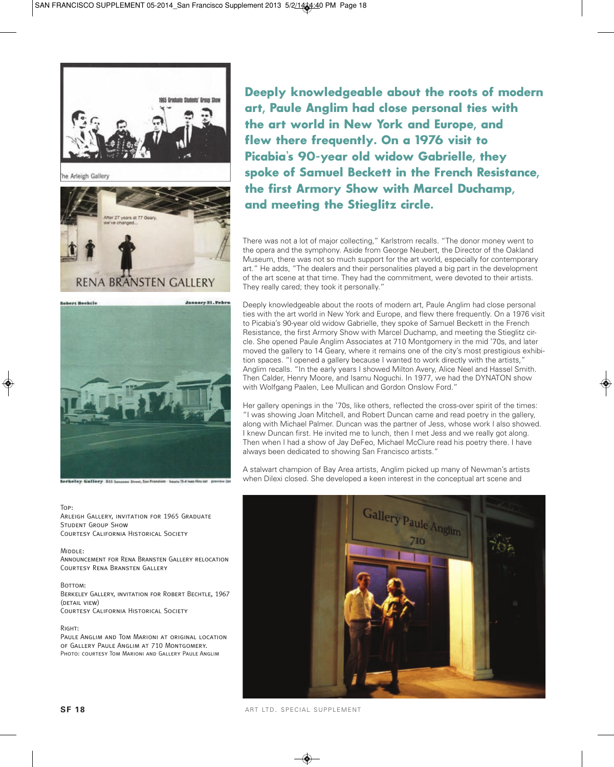

e Arleigh Gallery





Top:

ARLEIGH GALLERY, INVITATION FOR 1965 GRADUATE Student Group Show Courtesy California Historical Society

 $M$ IDDLE $\cdot$ Announcement for Rena Bransten Gallery relocation Courtesy Rena Bransten Gallery

BOTTOM: Berkeley Gallery, invitation for Robert Bechtle, 1967  $(nFTAIUVIFW)$ Courtesy California Historical Society

Right:

Paule Anglim and Tom Marioni at original location of Gallery Paule Anglim at 710 Montgomery. PHOTO: COURTESY TOM MARIONI AND GALLERY PAULE ANGLIM

**Deeply knowledgeable about the roots of modern art, Paule Anglim had close personal ties with the art world in New York and Europe, and flew there frequently. On a 1976 visit to Picabia's 90-year old widow Gabrielle, they spoke of Samuel Beckett in the French Resistance, the first Armory Show with Marcel Duchamp, and meeting the Stieglitz circle.** 

There was not a lot of major collecting," Karlstrom recalls. "The donor money went to the opera and the symphony. Aside from George Neubert, the Director of the Oakland Museum, there was not so much support for the art world, especially for contemporary art." He adds, "The dealers and their personalities played a big part in the development of the art scene at that time. They had the commitment, were devoted to their artists. They really cared; they took it personally."

Deeply knowledgeable about the roots of modern art, Paule Anglim had close personal ties with the art world in New York and Europe, and flew there frequently. On a 1976 visit to Picabia's 90-year old widow Gabrielle, they spoke of Samuel Beckett in the French Resistance, the first Armory Show with Marcel Duchamp, and meeting the Stieglitz circle. She opened Paule Anglim Associates at 710 Montgomery in the mid '70s, and later moved the gallery to 14 Geary, where it remains one of the city's most prestigious exhibition spaces. "I opened a gallery because I wanted to work directly with the artists," Anglim recalls. "In the early years I showed Milton Avery, Alice Neel and Hassel Smith. Then Calder, Henry Moore, and Isamu Noguchi. In 1977, we had the DYNATON show with Wolfgang Paalen, Lee Mullican and Gordon Onslow Ford."

Her gallery openings in the '70s, like others, reflected the cross-over spirit of the times: "I was showing Joan Mitchell, and Robert Duncan came and read poetry in the gallery, along with Michael Palmer. Duncan was the partner of Jess, whose work I also showed. I knew Duncan first. He invited me to lunch, then I met Jess and we really got along. Then when I had a show of Jay DeFeo, Michael McClure read his poetry there. I have always been dedicated to showing San Francisco artists."

A stalwart champion of Bay Area artists, Anglim picked up many of Newman's artists when Dilexi closed. She developed a keen interest in the conceptual art scene and



**SF 18** ART LTD. SPECIAL SUPPLEMENT